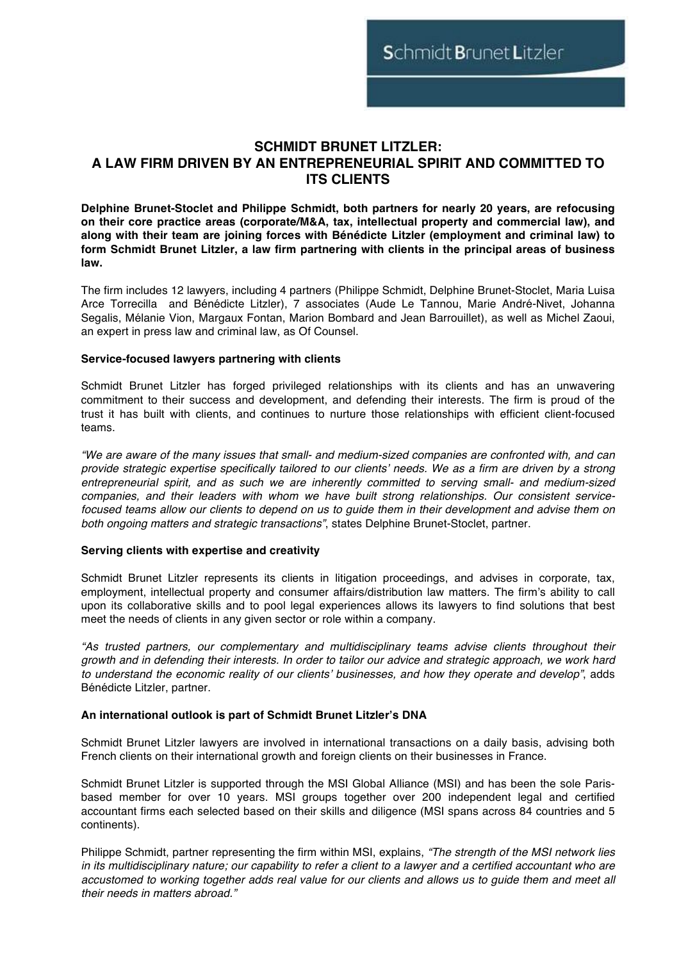# **SCHMIDT BRUNET LITZLER: A LAW FIRM DRIVEN BY AN ENTREPRENEURIAL SPIRIT AND COMMITTED TO ITS CLIENTS**

**Delphine Brunet-Stoclet and Philippe Schmidt, both partners for nearly 20 years, are refocusing on their core practice areas (corporate/M&A, tax, intellectual property and commercial law), and along with their team are joining forces with Bénédicte Litzler (employment and criminal law) to form Schmidt Brunet Litzler, a law firm partnering with clients in the principal areas of business law.**

The firm includes 12 lawyers, including 4 partners (Philippe Schmidt, Delphine Brunet-Stoclet, Maria Luisa Arce Torrecilla and Bénédicte Litzler), 7 associates (Aude Le Tannou, Marie André-Nivet, Johanna Segalis, Mélanie Vion, Margaux Fontan, Marion Bombard and Jean Barrouillet), as well as Michel Zaoui, an expert in press law and criminal law, as Of Counsel.

### **Service-focused lawyers partnering with clients**

Schmidt Brunet Litzler has forged privileged relationships with its clients and has an unwavering commitment to their success and development, and defending their interests. The firm is proud of the trust it has built with clients, and continues to nurture those relationships with efficient client-focused teams.

*"We are aware of the many issues that small- and medium-sized companies are confronted with, and can provide strategic expertise specifically tailored to our clients' needs. We as a firm are driven by a strong entrepreneurial spirit, and as such we are inherently committed to serving small- and medium-sized companies, and their leaders with whom we have built strong relationships. Our consistent servicefocused teams allow our clients to depend on us to guide them in their development and advise them on both ongoing matters and strategic transactions"*, states Delphine Brunet-Stoclet, partner.

### **Serving clients with expertise and creativity**

Schmidt Brunet Litzler represents its clients in litigation proceedings, and advises in corporate, tax, employment, intellectual property and consumer affairs/distribution law matters. The firm's ability to call upon its collaborative skills and to pool legal experiences allows its lawyers to find solutions that best meet the needs of clients in any given sector or role within a company.

*"As trusted partners, our complementary and multidisciplinary teams advise clients throughout their growth and in defending their interests. In order to tailor our advice and strategic approach, we work hard to understand the economic reality of our clients' businesses, and how they operate and develop"*, adds Bénédicte Litzler, partner.

# **An international outlook is part of Schmidt Brunet Litzler's DNA**

Schmidt Brunet Litzler lawyers are involved in international transactions on a daily basis, advising both French clients on their international growth and foreign clients on their businesses in France.

Schmidt Brunet Litzler is supported through the MSI Global Alliance (MSI) and has been the sole Parisbased member for over 10 years. MSI groups together over 200 independent legal and certified accountant firms each selected based on their skills and diligence (MSI spans across 84 countries and 5 continents).

Philippe Schmidt, partner representing the firm within MSI, explains, *"The strength of the MSI network lies in its multidisciplinary nature; our capability to refer a client to a lawyer and a certified accountant who are accustomed to working together adds real value for our clients and allows us to guide them and meet all their needs in matters abroad."*